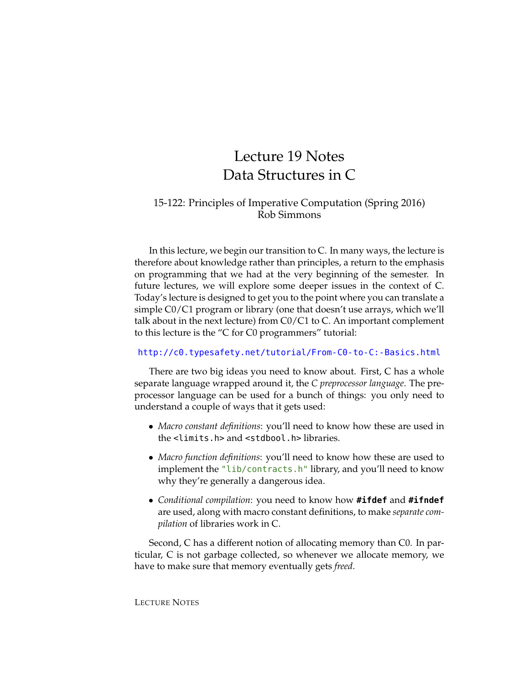# Lecture 19 Notes Data Structures in C

### 15-122: Principles of Imperative Computation (Spring 2016) Rob Simmons

In this lecture, we begin our transition to C. In many ways, the lecture is therefore about knowledge rather than principles, a return to the emphasis on programming that we had at the very beginning of the semester. In future lectures, we will explore some deeper issues in the context of C. Today's lecture is designed to get you to the point where you can translate a simple C0/C1 program or library (one that doesn't use arrays, which we'll talk about in the next lecture) from C0/C1 to C. An important complement to this lecture is the "C for C0 programmers" tutorial:

#### <http://c0.typesafety.net/tutorial/From-C0-to-C:-Basics.html>

There are two big ideas you need to know about. First, C has a whole separate language wrapped around it, the *C preprocessor language*. The preprocessor language can be used for a bunch of things: you only need to understand a couple of ways that it gets used:

- *Macro constant definitions*: you'll need to know how these are used in the <limits.h> and <stdbool.h> libraries.
- *Macro function definitions*: you'll need to know how these are used to implement the "lib/contracts.h" library, and you'll need to know why they're generally a dangerous idea.
- *Conditional compilation*: you need to know how **#ifdef** and **#ifndef** are used, along with macro constant definitions, to make *separate compilation* of libraries work in C.

Second, C has a different notion of allocating memory than C0. In particular, C is not garbage collected, so whenever we allocate memory, we have to make sure that memory eventually gets *freed*.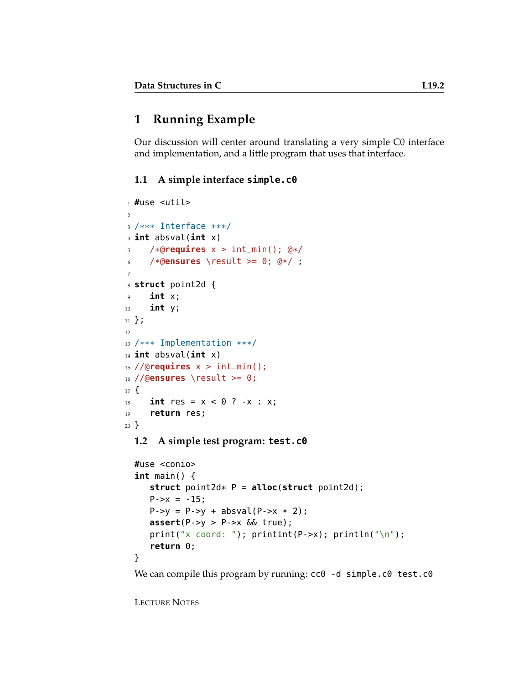# **1 Running Example**

Our discussion will center around translating a very simple C0 interface and implementation, and a little program that uses that interface.

#### **1.1 A simple interface simple.c0**

```
1 #use <util>
2
3 /*** Interface ***/
4 int absval(int x)
5 /*@requires x > int_min(); @*/
6 /*@ensures \result >= 0; @*/ ;
7
8 struct point2d {
9 int x;
10 int y;
11 };
12
13 /*** Implementation ***/
14 int absval(int x)
15 //@requires x > int_min();
16 //@ensures \result >= 0;
17 \frac{1}{2}18 int res = x < 0 ? -x : x;
19 return res;
20 }
  1.2 A simple test program: test.c0
```

```
#use <conio>
int main() {
   struct point2d* P = alloc(struct point2d);
   P->x = -15;P->y = P->y + absval(P->x * 2);assert(P->y > P->x && true);
   print("x coord: ");    printint(P->x);    println("\n");
   return 0;
}
```
We can compile this program by running: cc0 -d simple.c0 test.c0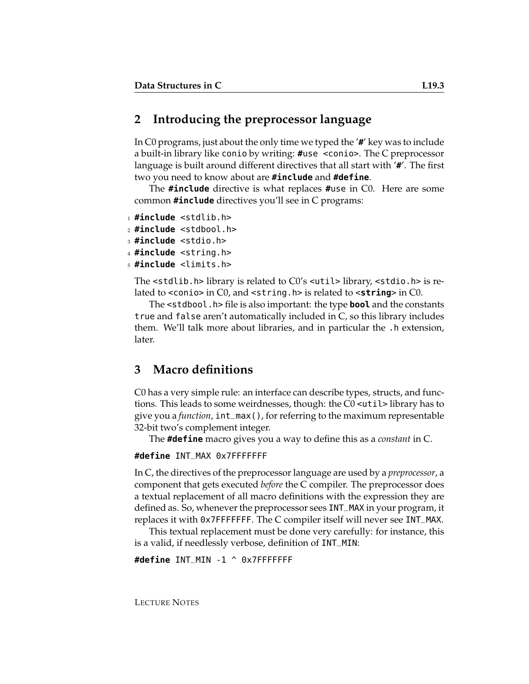# **2 Introducing the preprocessor language**

In C0 programs, just about the only time we typed the '**#**' key was to include a built-in library like conio by writing: **#**use <conio>. The C preprocessor language is built around different directives that all start with '**#**'. The first two you need to know about are **#include** and **#define**.

The **#include** directive is what replaces **#**use in C0. Here are some common **#include** directives you'll see in C programs:

```
1 #include <stdlib.h>
```
<sup>2</sup> **#include** <stdbool.h>

<sup>3</sup> **#include** <stdio.h>

<sup>4</sup> **#include** <string.h>

<sup>5</sup> **#include** <limits.h>

The <stdlib.h> library is related to C0's <util> library, <stdio.h> is related to <conio> in C0, and <string.h> is related to <**string**> in C0.

The <stdbool.h> file is also important: the type **bool** and the constants true and false aren't automatically included in C, so this library includes them. We'll talk more about libraries, and in particular the .h extension, later.

# **3 Macro definitions**

C0 has a very simple rule: an interface can describe types, structs, and functions. This leads to some weirdnesses, though: the C0 <util> library has to give you a *function*, int\_max(), for referring to the maximum representable 32-bit two's complement integer.

The **#define** macro gives you a way to define this as a *constant* in C.

**#define** INT\_MAX 0x7FFFFFFF

In C, the directives of the preprocessor language are used by a *preprocessor*, a component that gets executed *before* the C compiler. The preprocessor does a textual replacement of all macro definitions with the expression they are defined as. So, whenever the preprocessor sees INT\_MAX in your program, it replaces it with 0x7FFFFFFF. The C compiler itself will never see INT\_MAX.

This textual replacement must be done very carefully: for instance, this is a valid, if needlessly verbose, definition of INT\_MIN:

**#define** INT\_MIN -1 ^ 0x7FFFFFFF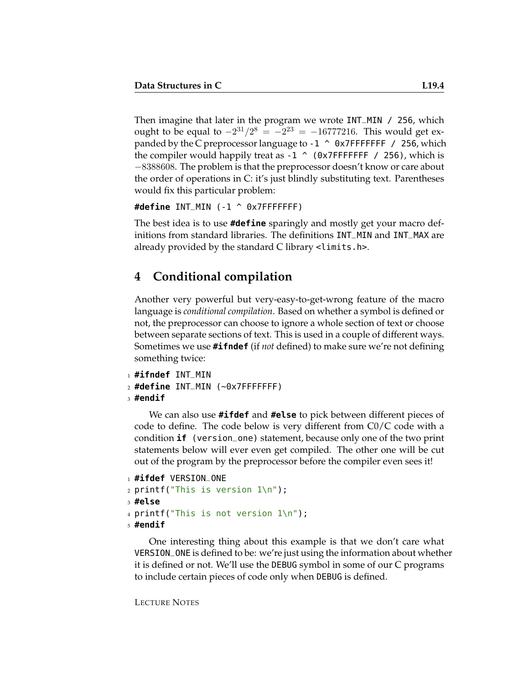Then imagine that later in the program we wrote INT\_MIN / 256, which ought to be equal to  $-2^{31}/2^8 = -2^{23} = -16777216$ . This would get expanded by the C preprocessor language to  $-1$  ^ 0x7FFFFFFF / 256, which the compiler would happily treat as  $-1$  ^ (0x7FFFFFFF / 256), which is −8388608. The problem is that the preprocessor doesn't know or care about the order of operations in C: it's just blindly substituting text. Parentheses would fix this particular problem:

**#define** INT\_MIN (-1 ^ 0x7FFFFFFF)

The best idea is to use **#define** sparingly and mostly get your macro definitions from standard libraries. The definitions INT\_MIN and INT\_MAX are already provided by the standard C library <limits.h>.

# **4 Conditional compilation**

Another very powerful but very-easy-to-get-wrong feature of the macro language is *conditional compilation*. Based on whether a symbol is defined or not, the preprocessor can choose to ignore a whole section of text or choose between separate sections of text. This is used in a couple of different ways. Sometimes we use **#ifndef** (if *not* defined) to make sure we're not defining something twice:

```
1 #ifndef INT_MIN
2 #define INT_MIN (~0x7FFFFFFF)
3 #endif
```
We can also use **#ifdef** and **#else** to pick between different pieces of code to define. The code below is very different from C0/C code with a condition **if** (version\_one) statement, because only one of the two print statements below will ever even get compiled. The other one will be cut out of the program by the preprocessor before the compiler even sees it!

```
1 #ifdef VERSION_ONE
2 printf("This is version 1\n");
3 #else
4 printf("This is not version 1\n");
5 #endif
```
One interesting thing about this example is that we don't care what VERSION\_ONE is defined to be: we're just using the information about whether it is defined or not. We'll use the DEBUG symbol in some of our C programs to include certain pieces of code only when DEBUG is defined.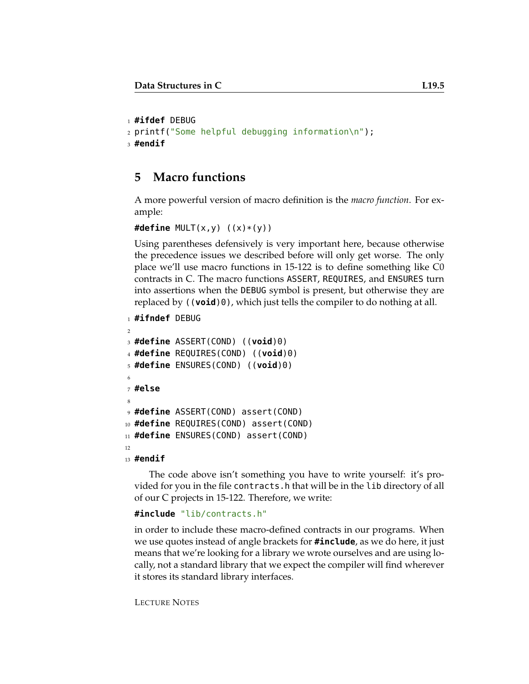```
1 #ifdef DEBUG
2 printf("Some helpful debugging information\n");
3 #endif
```
# **5 Macro functions**

A more powerful version of macro definition is the *macro function*. For example:

```
#define MULT(x,y) ((x)*(y))
```
Using parentheses defensively is very important here, because otherwise the precedence issues we described before will only get worse. The only place we'll use macro functions in 15-122 is to define something like C0 contracts in C. The macro functions ASSERT, REQUIRES, and ENSURES turn into assertions when the DEBUG symbol is present, but otherwise they are replaced by ((**void**)0), which just tells the compiler to do nothing at all.

```
1 #ifndef DEBUG
```
 $\overline{2}$ 

```
3 #define ASSERT(COND) ((void)0)
4 #define REQUIRES(COND) ((void)0)
5 #define ENSURES(COND) ((void)0)
6
7 #else
8
9 #define ASSERT(COND) assert(COND)
10 #define REQUIRES(COND) assert(COND)
11 #define ENSURES(COND) assert(COND)
12
13 #endif
```
The code above isn't something you have to write yourself: it's provided for you in the file contracts.h that will be in the lib directory of all of our C projects in 15-122. Therefore, we write:

#### **#include** "lib/contracts.h"

in order to include these macro-defined contracts in our programs. When we use quotes instead of angle brackets for **#include**, as we do here, it just means that we're looking for a library we wrote ourselves and are using locally, not a standard library that we expect the compiler will find wherever it stores its standard library interfaces.

```
LECTURE NOTES
```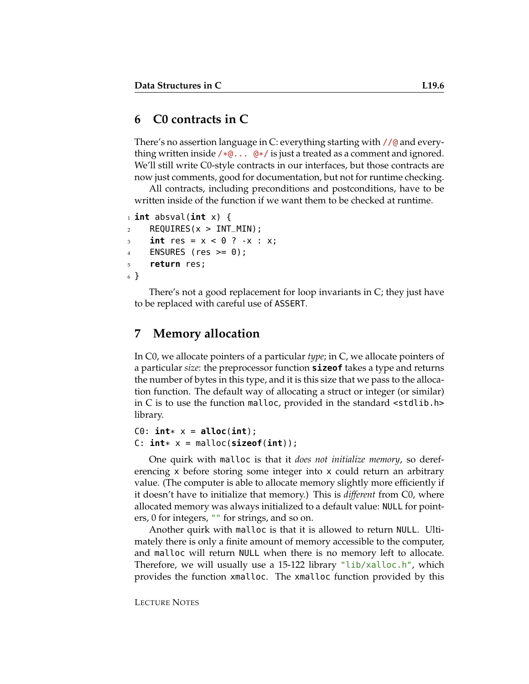### **6 C0 contracts in C**

There's no assertion language in C: everything starting with //@ and everything written inside  $/*@... @*/$  is just a treated as a comment and ignored. We'll still write C0-style contracts in our interfaces, but those contracts are now just comments, good for documentation, but not for runtime checking.

All contracts, including preconditions and postconditions, have to be written inside of the function if we want them to be checked at runtime.

```
1 int absval(int x) {
2 REQUIRES(x > INT_MIN);
3 int res = x < 0 ? -x : x;
4 ENSURES (res >= 0);
5 return res;
6 }
```
There's not a good replacement for loop invariants in C; they just have to be replaced with careful use of ASSERT.

### **7 Memory allocation**

In C0, we allocate pointers of a particular *type*; in C, we allocate pointers of a particular *size*: the preprocessor function **sizeof** takes a type and returns the number of bytes in this type, and it is this size that we pass to the allocation function. The default way of allocating a struct or integer (or similar) in C is to use the function malloc, provided in the standard <stdlib.h> library.

```
C\theta: \text{int} * x = \text{alloc}(\text{int});
C: int* x = malloc(sizeof(int));
```
One quirk with malloc is that it *does not initialize memory*, so dereferencing x before storing some integer into x could return an arbitrary value. (The computer is able to allocate memory slightly more efficiently if it doesn't have to initialize that memory.) This is *different* from C0, where allocated memory was always initialized to a default value: NULL for pointers, 0 for integers, "" for strings, and so on.

Another quirk with malloc is that it is allowed to return NULL. Ultimately there is only a finite amount of memory accessible to the computer, and malloc will return NULL when there is no memory left to allocate. Therefore, we will usually use a 15-122 library "lib/xalloc.h", which provides the function xmalloc. The xmalloc function provided by this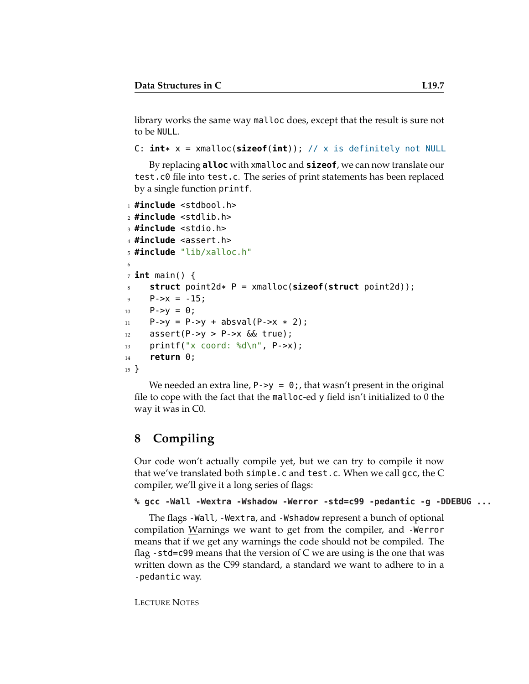library works the same way malloc does, except that the result is sure not to be NULL.

```
C: int* x = xmalloc(sizeof(int)); // x is definitely not NULL
```
By replacing **alloc** with xmalloc and **sizeof**, we can now translate our test.c0 file into test.c. The series of print statements has been replaced by a single function printf.

```
1 #include <stdbool.h>
2 #include <stdlib.h>
3 #include <stdio.h>
4 #include <assert.h>
5 #include "lib/xalloc.h"
6
7 int main() {
8 struct point2d* P = xmalloc(sizeof(struct point2d));
9 P-\geq x = -15;
10 P->y = 0;11 P->y = P->y + absval(P->x * 2);
12 assert(P->y > P->x \&f true);
13 printf("x coord: %d\n", P->x);
14 return 0;
15 }
```
We needed an extra line,  $P \rightarrow y = 0$ ;, that wasn't present in the original file to cope with the fact that the malloc-ed y field isn't initialized to 0 the way it was in C0.

# **8 Compiling**

Our code won't actually compile yet, but we can try to compile it now that we've translated both simple.c and test.c. When we call gcc, the C compiler, we'll give it a long series of flags:

```
% gcc -Wall -Wextra -Wshadow -Werror -std=c99 -pedantic -g -DDEBUG ...
```
The flags -Wall, -Wextra, and -Wshadow represent a bunch of optional compilation Warnings we want to get from the compiler, and -Werror means that if we get any warnings the code should not be compiled. The flag -std=c99 means that the version of C we are using is the one that was written down as the C99 standard, a standard we want to adhere to in a -pedantic way.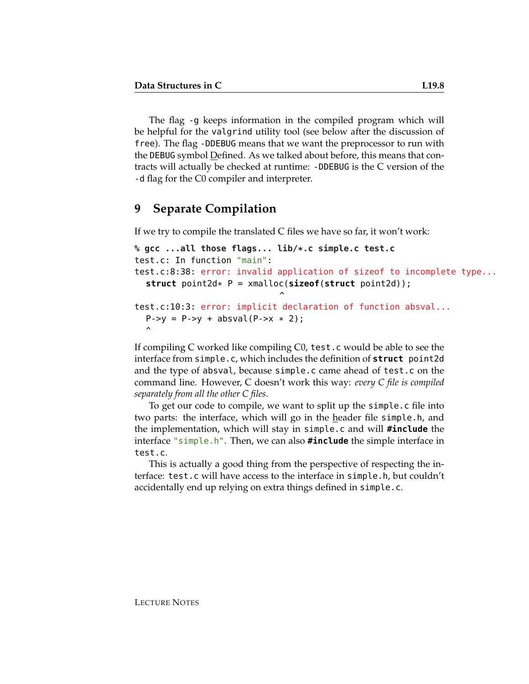The flag -g keeps information in the compiled program which will be helpful for the valgrind utility tool (see below after the discussion of free). The flag -DDEBUG means that we want the preprocessor to run with the DEBUG symbol Defined. As we talked about before, this means that contracts will actually be checked at runtime: -DDEBUG is the C version of the -d flag for the C0 compiler and interpreter.

### **9 Separate Compilation**

If we try to compile the translated C files we have so far, it won't work:

```
% gcc ...all those flags... lib/*.c simple.c test.c
test.c: In function "main":
test.c:8:38: error: invalid application of sizeof to incomplete type...
  struct point2d* P = xmalloc(sizeof(struct point2d));
                                \hat{\phantom{1}}test.c:10:3: error: implicit declaration of function absval...
  P->y = P->y + absval(P->x * 2);\hat{\phantom{1}}
```
If compiling C worked like compiling C0, test.c would be able to see the interface from simple.c, which includes the definition of **struct** point2d and the type of absval, because simple.c came ahead of test.c on the command line. However, C doesn't work this way: *every C file is compiled separately from all the other C files*.

To get our code to compile, we want to split up the simple.c file into two parts: the interface, which will go in the header file simple.h, and the implementation, which will stay in simple.c and will **#include** the interface "simple.h". Then, we can also **#include** the simple interface in test.c.

This is actually a good thing from the perspective of respecting the interface: test.c will have access to the interface in simple.h, but couldn't accidentally end up relying on extra things defined in simple.c.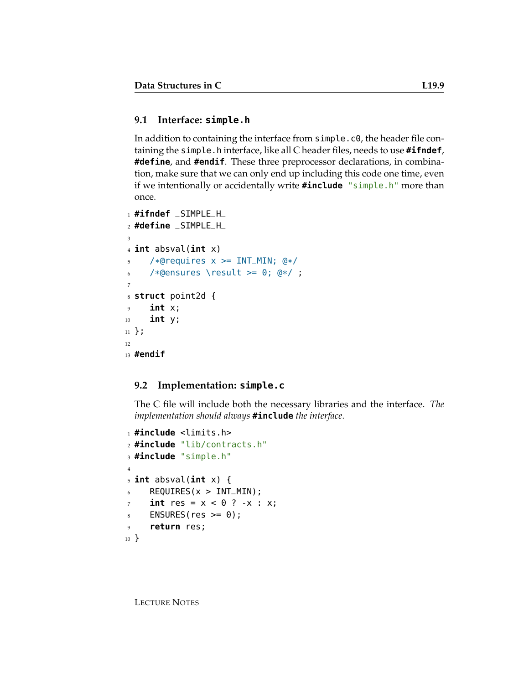### **9.1 Interface: simple.h**

In addition to containing the interface from simple.c0, the header file containing the simple.h interface, like all C header files, needs to use **#ifndef**, **#define**, and **#endif**. These three preprocessor declarations, in combination, make sure that we can only end up including this code one time, even if we intentionally or accidentally write **#include** "simple.h" more than once.

```
1 #ifndef _SIMPLE_H_
2 #define _SIMPLE_H_
3
4 int absval(int x)
5 /*@requires x \geq 1NT_MIN; @*/
6 /*@ensures \result >= 0; @*/ ;
7
8 struct point2d {
9 int x;
10 int y;
11 };
12
13 #endif
```
#### **9.2 Implementation: simple.c**

The C file will include both the necessary libraries and the interface. *The implementation should always* **#include** *the interface*.

```
1 #include <limits.h>
2 #include "lib/contracts.h"
3 #include "simple.h"
4
5 int absval(int x) {
6 REQUIRES(x > INT_MIN);
7 \quad \text{int} \text{res} = x < 0 \quad ? -x : x;\text{8} ENSURES(res \text{>= } 0);
9 return res;
10 }
```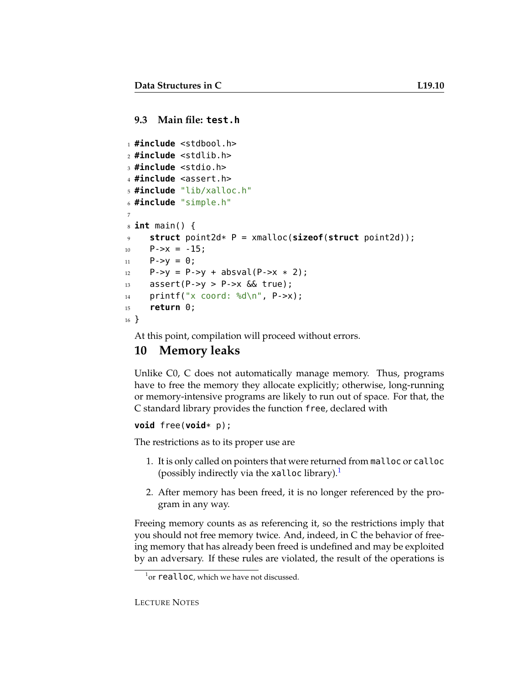#### **9.3 Main file: test.h**

```
1 #include <stdbool.h>
2 #include <stdlib.h>
3 #include <stdio.h>
4 #include <assert.h>
5 #include "lib/xalloc.h"
6 #include "simple.h"
7
8 int main() {
9 struct point2d* P = xmalloc(sizeof(struct point2d));
_{10} P->x = -15;
11 P - >y = 0;12 P->y = P->y + absval(P->x * 2);
13 assert(P->y > P->x \& true);
14 printf("x coord: %d\n", P->x);
15 return 0;
16 }
```
At this point, compilation will proceed without errors.

# **10 Memory leaks**

Unlike C0, C does not automatically manage memory. Thus, programs have to free the memory they allocate explicitly; otherwise, long-running or memory-intensive programs are likely to run out of space. For that, the C standard library provides the function free, declared with

#### **void** free(**void**\* p);

The restrictions as to its proper use are

- 1. It is only called on pointers that were returned from malloc or calloc (possibly indirectly via the xalloc library). $<sup>1</sup>$  $<sup>1</sup>$  $<sup>1</sup>$ </sup>
- 2. After memory has been freed, it is no longer referenced by the program in any way.

Freeing memory counts as as referencing it, so the restrictions imply that you should not free memory twice. And, indeed, in C the behavior of freeing memory that has already been freed is undefined and may be exploited by an adversary. If these rules are violated, the result of the operations is

<span id="page-9-0"></span> $^{1}$ or  $realloc$ , which we have not discussed.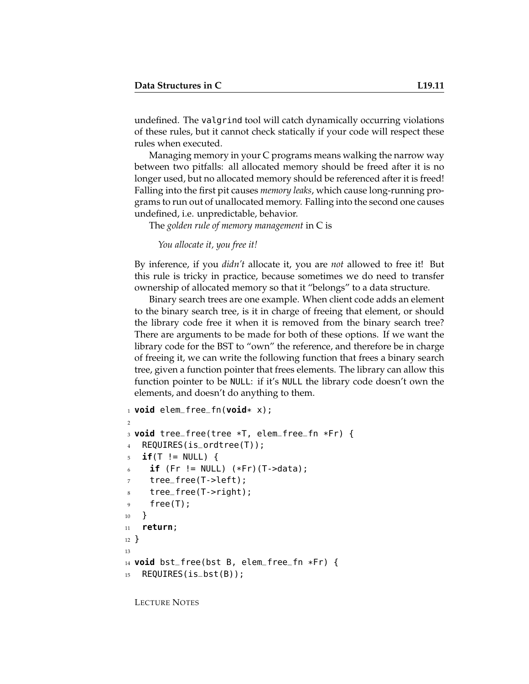undefined. The valgrind tool will catch dynamically occurring violations of these rules, but it cannot check statically if your code will respect these rules when executed.

Managing memory in your C programs means walking the narrow way between two pitfalls: all allocated memory should be freed after it is no longer used, but no allocated memory should be referenced after it is freed! Falling into the first pit causes *memory leaks*, which cause long-running programs to run out of unallocated memory. Falling into the second one causes undefined, i.e. unpredictable, behavior.

The *golden rule of memory management* in C is

*You allocate it, you free it!*

By inference, if you *didn't* allocate it, you are *not* allowed to free it! But this rule is tricky in practice, because sometimes we do need to transfer ownership of allocated memory so that it "belongs" to a data structure.

Binary search trees are one example. When client code adds an element to the binary search tree, is it in charge of freeing that element, or should the library code free it when it is removed from the binary search tree? There are arguments to be made for both of these options. If we want the library code for the BST to "own" the reference, and therefore be in charge of freeing it, we can write the following function that frees a binary search tree, given a function pointer that frees elements. The library can allow this function pointer to be NULL: if it's NULL the library code doesn't own the elements, and doesn't do anything to them.

```
1 void elem_free_fn(void* x);
\overline{2}3 void tree_free(tree *T, elem_free_fn *Fr) {
4 REQUIRES(is_ordtree(T));
5 if(T != NULL) {
6 if (Fr != NULL) (*Fr) (T->data);
7 tree_free(T->left);
8 tree_free(T->right);
9 free(T);
10 }
11 return;
12 }
13
14 void bst_free(bst B, elem_free_fn *Fr) {
15 REQUIRES(is_bst(B));
```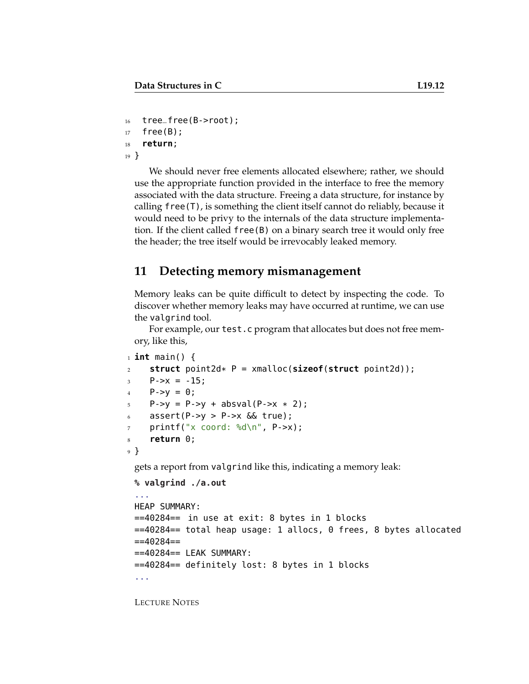```
_{16} tree_free(B->root);
17 free(B);
18 return;
19 }
```
We should never free elements allocated elsewhere; rather, we should use the appropriate function provided in the interface to free the memory associated with the data structure. Freeing a data structure, for instance by calling  $free(T)$ , is something the client itself cannot do reliably, because it would need to be privy to the internals of the data structure implementation. If the client called free(B) on a binary search tree it would only free the header; the tree itself would be irrevocably leaked memory.

### **11 Detecting memory mismanagement**

Memory leaks can be quite difficult to detect by inspecting the code. To discover whether memory leaks may have occurred at runtime, we can use the valgrind tool.

For example, our test.c program that allocates but does not free memory, like this,

```
1 int main() {
2 struct point2d* P = xmalloc(sizeof(struct point2d));
3 \qquad P \rightarrow X = -15;4 P->y = 0;5 P->y = P->y + absval(P->x * 2);
6 assert(P->y > P->x \& true);
\gamma printf("x coord: %d\n", P->x);
8 return 0;
9 }
```
gets a report from valgrind like this, indicating a memory leak:

```
% valgrind ./a.out
...
HEAP SUMMARY:
==40284== in use at exit: 8 bytes in 1 blocks
==40284== total heap usage: 1 allocs, 0 frees, 8 bytes allocated
= = = 40284 = ===40284== LEAK SUMMARY:
==40284== definitely lost: 8 bytes in 1 blocks
...
```